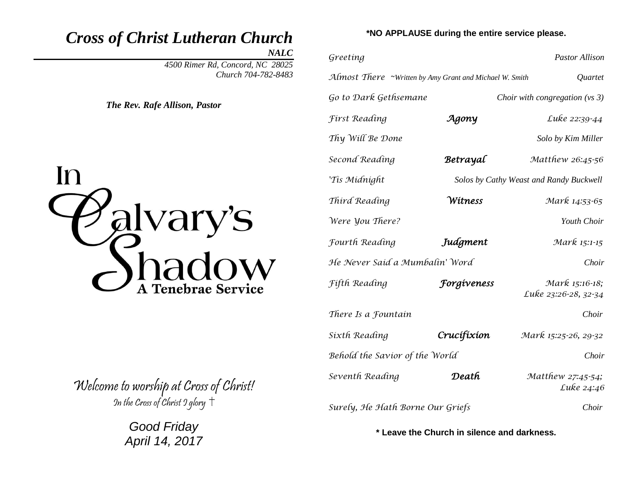# *Cross of Christ Lutheran Church*

*NALC*

*4500 Rimer Rd, Concord, NC 28025 Church 704-782-8483* 

*The Rev. Rafe Allison, Pastor*



Welcome to worship at Cross of Christ! In the Cross of Christ  $9$  glory  $\dagger$ 

> *Good Friday April 14, 2017*

### **\*NO APPLAUSE during the entire service please.**

| Greeting                                                |                    | <b>Pastor Allison</b>                   |
|---------------------------------------------------------|--------------------|-----------------------------------------|
| Almost There ~Written by Amy Grant and Michael W. Smith |                    | Quartet                                 |
| Go to Dark Gethsemane                                   |                    | Choir with congregation ( $vs$ 3)       |
| <b>First Reading</b>                                    | Agony              | Luke 22:39-44                           |
| Thy Will Be Done                                        |                    | Solo by Kim Miller                      |
| Second Reading                                          | Betrayal           | Matthew 26:45-56                        |
| 'Tis Midnight                                           |                    | Solos by Cathy Weast and Randy Buckwell |
| Third Reading                                           | Wítness            | Mark 14:53-65                           |
| Were <i>you There?</i>                                  |                    | Youth Choir                             |
| Fourth Reading                                          | Judgment           | Mark 15:1-15                            |
| He Never Said a Mumbalin' Word                          |                    | Choir                                   |
| Fifth Reading                                           | <b>Forgíveness</b> | Mark 15:16-18;<br>Luke 23:26-28, 32-34  |
| There Is a Fountain                                     |                    | Choir                                   |
| Sixth Reading                                           | Crucífíxíon        | Mark 15:25-26, 29-32                    |
| Behold the Savior of the World                          |                    | Choir                                   |
| Seventh Reading                                         | Death              | Matthew 27:45-54;<br>Luke 24:46         |
| Surely, He Hath Borne Our Griefs                        |                    | Choir                                   |

**\* Leave the Church in silence and darkness.**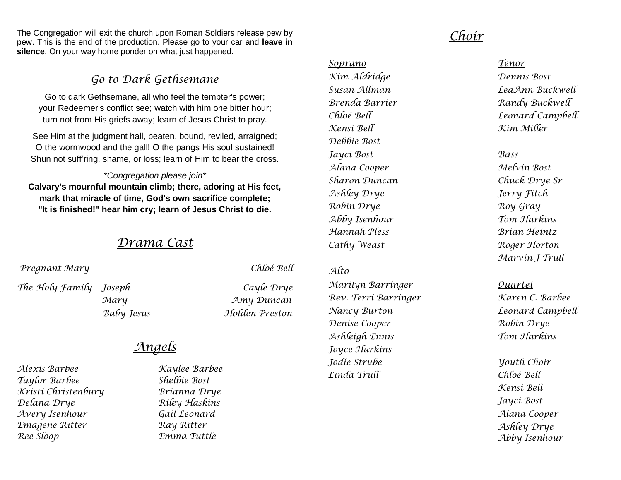The Congregation will exit the church upon Roman Soldiers release pew by pew. This is the end of the production. Please go to your car and **leave in silence**. On your way home ponder on what just happened.

### *Go to Dark Gethsemane*

Go to dark Gethsemane, all who feel the tempter's power; your Redeemer's conflict see; watch with him one bitter hour; turn not from His griefs away; learn of Jesus Christ to pray.

See Him at the judgment hall, beaten, bound, reviled, arraigned; O the wormwood and the gall! O the pangs His soul sustained! Shun not suff'ring, shame, or loss; learn of Him to bear the cross.

### *\*Congregation please join\**

**Calvary's mournful mountain climb; there, adoring at His feet, mark that miracle of time, God's own sacrifice complete; "It is finished!" hear him cry; learn of Jesus Christ to die.**

### *Drama Cast*

*Pregnant Mary Chloé Bell*

*The Holy Family Joseph Cayle Drye*

 *Mary Amy Duncan Baby Jesus Holden Preston*

## *Angels*

*Alexis Barbee Kaylee Barbee Taylor Barbee Shelbie Bost Kristi Christenbury Brianna Drye Delana Drye Riley Haskins Avery Isenhour Gail Leonard Emagene Ritter Ray Ritter Ree Sloop Emma Tuttle*

## *Choir*

*Soprano Tenor Kim Aldridge Dennis Bost Brenda Barrier Randy Buckwell Kensi Bell Kim Miller Debbie Bost Jayci Bost Bass Alana Cooper Melvin Bost Sharon Duncan Chuck Drye Sr Ashley Drye Jerry Fitch Robin Drye Roy Gray Abby Isenhour Tom Harkins Hannah Pless Brian Heintz Cathy Weast Roger Horton*

### *Alto*

*Marilyn Barringer Quartet Rev. Terri Barringer Karen C. Barbee Nancy Burton Leonard Campbell Denise Cooper Robin Drye Ashleigh Ennis Tom Harkins Joyce Harkins Jodie Strube Youth Choir Linda Trull Chloé Bell*

*Susan Allman LeaAnn Buckwell Chloé Bell Leonard Campbell*

*Marvin J Trull*

*Kensi Bell Jayci Bost Alana Cooper Ashley Drye Abby Isenhour*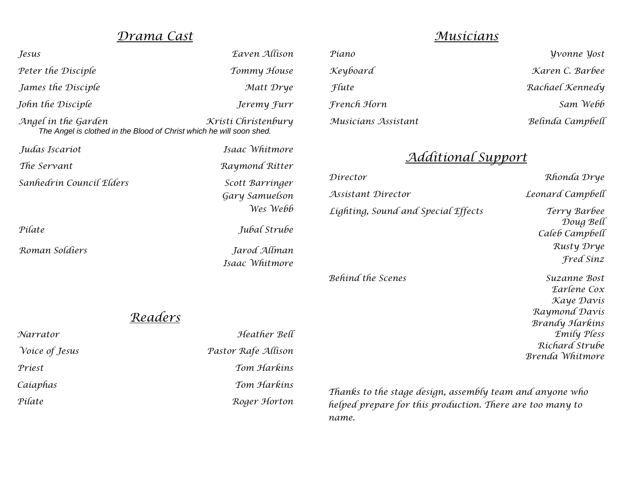## *Drama Cast*

| Jesus                                                                                       | Eaven Allison                                 |
|---------------------------------------------------------------------------------------------|-----------------------------------------------|
| Peter the Disciple                                                                          | Tommy House                                   |
| James the Disciple                                                                          | Matt Drye                                     |
| John the Disciple                                                                           | Jeremy <i>furr</i>                            |
| Angel in the Garden<br>The Angel is clothed in the Blood of Christ which he will soon shed. | Kristi Christenbury                           |
| Judas Iscariot                                                                              | Isaac Whitmore                                |
| The Servant                                                                                 | Raymond Ritter                                |
| Sanhedrin Council Elders                                                                    | Scott Barringer<br>Gary Samuelson<br>Wes Webb |
| Pilate                                                                                      | Jubal Strube                                  |
| Roman Soldiers                                                                              | Jarod Allman                                  |

 *Isaac Whitmore* 

## *Readers*

| Narrator              | Heather Bell        | mily                                                      |
|-----------------------|---------------------|-----------------------------------------------------------|
| <i>Voice of Jesus</i> | Pastor Rafe Allison | Ríchard Str<br>Brenda Whitm                               |
| Priest                | Tom Harkins         |                                                           |
| Caiaphas              | Tom Harkins         | Thanks to the stage design, assembly team and anyone who  |
| Pilate                | Roger Horton        | helped prepare for this production. There are too many to |
|                       |                     | name.                                                     |

## *Musicians*

| Piano               | <i><b>Vyonne Yost</b></i> |
|---------------------|---------------------------|
| Keyboard            | Karen C. Barbee           |
| <i>Flute</i>        | Rachael Kennedy           |
| French Horn         | Sam Webb                  |
| Musicians Assistant | Belinda Campbell          |

## *Additional Support*

| Director                            | Rhonda Drye                                                                                        |
|-------------------------------------|----------------------------------------------------------------------------------------------------|
| Assistant Director                  | Leonard Campbell                                                                                   |
| Lighting, Sound and Special Effects | Terry Barbee<br>Doug Bell<br>Caleb Campbell<br>Rusty Drye<br>Fred Sinz                             |
| Behind the Scenes                   | Suzanne Bost<br>Earlene Cox<br>Kaye Davis<br>Raymond Davis<br><b>Brandy Harkins</b><br>Emily Pless |

 *Richard Strube Brenda Whitmore*